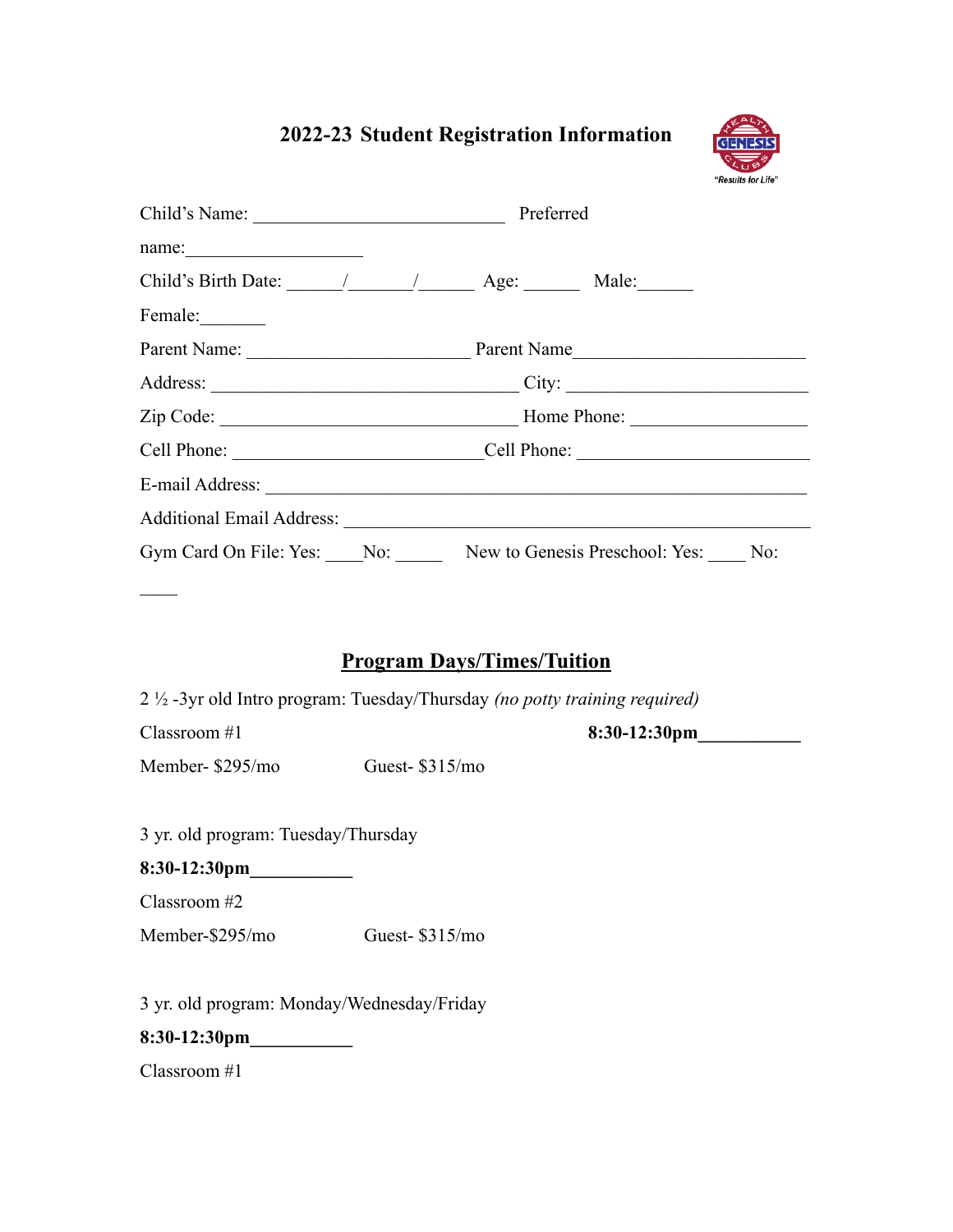## **2022-23 Student Registration Information**



|                                                               |  | Child's Name: Preferred  |  |  |  |  |  |
|---------------------------------------------------------------|--|--------------------------|--|--|--|--|--|
| name:                                                         |  |                          |  |  |  |  |  |
| Child's Birth Date: $\frac{1}{\sqrt{2\pi}}$ Age: Male:        |  |                          |  |  |  |  |  |
| Female:                                                       |  |                          |  |  |  |  |  |
|                                                               |  | Parent Name: Parent Name |  |  |  |  |  |
|                                                               |  |                          |  |  |  |  |  |
|                                                               |  |                          |  |  |  |  |  |
|                                                               |  | Cell Phone: Cell Phone:  |  |  |  |  |  |
|                                                               |  |                          |  |  |  |  |  |
|                                                               |  |                          |  |  |  |  |  |
| Gym Card On File: Yes: No: New to Genesis Preschool: Yes: No: |  |                          |  |  |  |  |  |

## **Program Days/Times/Tuition**

2 ½ -3yr old Intro program: Tuesday/Thursday *(no potty training required)*

 $\mathcal{L}_\mathcal{L}$ 

Classroom #1 **8:30-12:30pm** 

Member- \$295/mo Guest- \$315/mo

3 yr. old program: Tuesday/Thursday

**8:30-12:30pm\_\_\_\_\_\_\_\_\_\_\_**

Classroom #2

Member-\$295/mo Guest- \$315/mo

3 yr. old program: Monday/Wednesday/Friday

**8:30-12:30pm\_\_\_\_\_\_\_\_\_\_\_**

Classroom #1